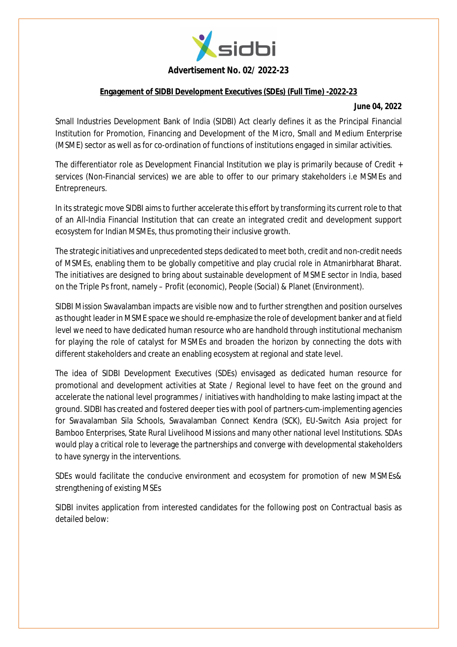

### **Advertisement No. 02/ 2022-23**

### **Engagement of SIDBI Development Executives (SDEs) (Full Time) -2022-23**

#### **June 04, 2022**

Small Industries Development Bank of India (SIDBI) Act clearly defines it as the Principal Financial Institution for Promotion, Financing and Development of the Micro, Small and Medium Enterprise (MSME) sector as well as for co-ordination of functions of institutions engaged in similar activities.

The differentiator role as Development Financial Institution we play is primarily because of Credit + services (Non-Financial services) we are able to offer to our primary stakeholders i.e MSMEs and Entrepreneurs.

In its strategic move SIDBI aims to further accelerate this effort by transforming its current role to that of an All-India Financial Institution that can create an integrated credit and development support ecosystem for Indian MSMEs, thus promoting their inclusive growth.

The strategic initiatives and unprecedented steps dedicated to meet both, credit and non-credit needs of MSMEs, enabling them to be globally competitive and play crucial role in Atmanirbharat Bharat. The initiatives are designed to bring about sustainable development of MSME sector in India, based on the Triple Ps front, namely – Profit (economic), People (Social) & Planet (Environment).

SIDBI Mission Swavalamban impacts are visible now and to further strengthen and position ourselves as thought leader in MSME space we should re-emphasize the role of development banker and at field level we need to have dedicated human resource who are handhold through institutional mechanism for playing the role of catalyst for MSMEs and broaden the horizon by connecting the dots with different stakeholders and create an enabling ecosystem at regional and state level.

The idea of SIDBI Development Executives (SDEs) envisaged as dedicated human resource for promotional and development activities at State / Regional level to have feet on the ground and accelerate the national level programmes / initiatives with handholding to make lasting impact at the ground. SIDBI has created and fostered deeper ties with pool of partners-cum-implementing agencies for Swavalamban Sila Schools, Swavalamban Connect Kendra (SCK), EU-Switch Asia project for Bamboo Enterprises, State Rural Livelihood Missions and many other national level Institutions. SDAs would play a critical role to leverage the partnerships and converge with developmental stakeholders to have synergy in the interventions.

SDEs would facilitate the conducive environment and ecosystem for promotion of new MSMEs& strengthening of existing MSEs

SIDBI invites application from interested candidates for the following post on Contractual basis as detailed below: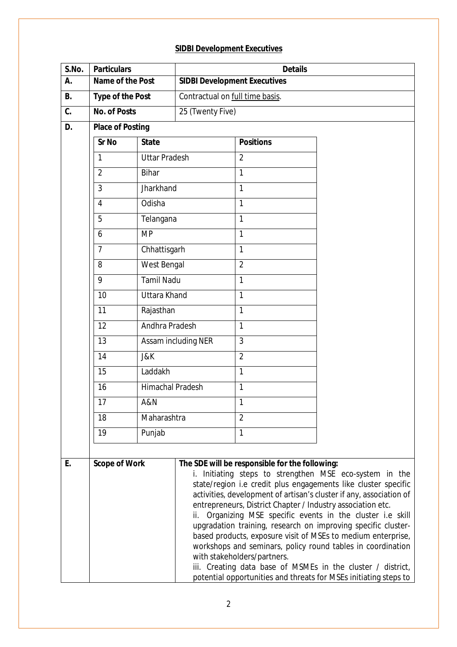# **SIDBI Development Executives**

| S.No.     | <b>Particulars</b>                                       |                      | <b>Details</b>                      |                                                                                                                                              |                                                                                                                                                                                                                                                                                                                                                                                                                                                                                                                                                                                                |  |  |
|-----------|----------------------------------------------------------|----------------------|-------------------------------------|----------------------------------------------------------------------------------------------------------------------------------------------|------------------------------------------------------------------------------------------------------------------------------------------------------------------------------------------------------------------------------------------------------------------------------------------------------------------------------------------------------------------------------------------------------------------------------------------------------------------------------------------------------------------------------------------------------------------------------------------------|--|--|
| А.        | Name of the Post                                         |                      | <b>SIDBI Development Executives</b> |                                                                                                                                              |                                                                                                                                                                                                                                                                                                                                                                                                                                                                                                                                                                                                |  |  |
| <b>B.</b> | <b>Type of the Post</b>                                  |                      | Contractual on full time basis.     |                                                                                                                                              |                                                                                                                                                                                                                                                                                                                                                                                                                                                                                                                                                                                                |  |  |
| C.        | <b>No. of Posts</b>                                      |                      | 25 (Twenty Five)                    |                                                                                                                                              |                                                                                                                                                                                                                                                                                                                                                                                                                                                                                                                                                                                                |  |  |
| D.        | <b>Place of Posting</b>                                  |                      |                                     |                                                                                                                                              |                                                                                                                                                                                                                                                                                                                                                                                                                                                                                                                                                                                                |  |  |
|           | Sr No                                                    | <b>State</b>         |                                     | <b>Positions</b>                                                                                                                             |                                                                                                                                                                                                                                                                                                                                                                                                                                                                                                                                                                                                |  |  |
|           | 1                                                        | <b>Uttar Pradesh</b> |                                     | $\overline{2}$                                                                                                                               |                                                                                                                                                                                                                                                                                                                                                                                                                                                                                                                                                                                                |  |  |
|           | $\overline{2}$                                           | <b>Bihar</b>         |                                     | 1                                                                                                                                            |                                                                                                                                                                                                                                                                                                                                                                                                                                                                                                                                                                                                |  |  |
|           | 3                                                        | Jharkhand            |                                     | 1                                                                                                                                            |                                                                                                                                                                                                                                                                                                                                                                                                                                                                                                                                                                                                |  |  |
|           | $\overline{4}$                                           | Odisha               |                                     | 1                                                                                                                                            |                                                                                                                                                                                                                                                                                                                                                                                                                                                                                                                                                                                                |  |  |
|           | 5                                                        | Telangana            |                                     | 1                                                                                                                                            |                                                                                                                                                                                                                                                                                                                                                                                                                                                                                                                                                                                                |  |  |
|           | 6                                                        | <b>MP</b>            |                                     | 1                                                                                                                                            |                                                                                                                                                                                                                                                                                                                                                                                                                                                                                                                                                                                                |  |  |
|           | $\overline{7}$                                           | Chhattisgarh         |                                     | 1                                                                                                                                            |                                                                                                                                                                                                                                                                                                                                                                                                                                                                                                                                                                                                |  |  |
|           | 8                                                        | West Bengal          |                                     | $\overline{2}$                                                                                                                               |                                                                                                                                                                                                                                                                                                                                                                                                                                                                                                                                                                                                |  |  |
|           | 9                                                        | <b>Tamil Nadu</b>    |                                     | 1                                                                                                                                            |                                                                                                                                                                                                                                                                                                                                                                                                                                                                                                                                                                                                |  |  |
|           | 10                                                       | <b>Uttara Khand</b>  |                                     | 1                                                                                                                                            |                                                                                                                                                                                                                                                                                                                                                                                                                                                                                                                                                                                                |  |  |
|           | 11                                                       | Rajasthan            |                                     | 1                                                                                                                                            |                                                                                                                                                                                                                                                                                                                                                                                                                                                                                                                                                                                                |  |  |
|           | Andhra Pradesh<br>12<br>13<br>14<br>J&K<br>15<br>Laddakh |                      |                                     | 1                                                                                                                                            |                                                                                                                                                                                                                                                                                                                                                                                                                                                                                                                                                                                                |  |  |
|           |                                                          |                      | Assam including NER                 | 3                                                                                                                                            |                                                                                                                                                                                                                                                                                                                                                                                                                                                                                                                                                                                                |  |  |
|           |                                                          |                      |                                     | $\overline{2}$                                                                                                                               |                                                                                                                                                                                                                                                                                                                                                                                                                                                                                                                                                                                                |  |  |
|           |                                                          |                      |                                     | 1                                                                                                                                            |                                                                                                                                                                                                                                                                                                                                                                                                                                                                                                                                                                                                |  |  |
|           | 16                                                       | Himachal Pradesh     |                                     | 1                                                                                                                                            |                                                                                                                                                                                                                                                                                                                                                                                                                                                                                                                                                                                                |  |  |
|           | 17                                                       | A&N                  |                                     | 1                                                                                                                                            |                                                                                                                                                                                                                                                                                                                                                                                                                                                                                                                                                                                                |  |  |
|           | 18                                                       |                      | Maharashtra                         | $\overline{2}$                                                                                                                               |                                                                                                                                                                                                                                                                                                                                                                                                                                                                                                                                                                                                |  |  |
|           | 19                                                       | Punjab               |                                     | 1                                                                                                                                            |                                                                                                                                                                                                                                                                                                                                                                                                                                                                                                                                                                                                |  |  |
|           |                                                          |                      |                                     |                                                                                                                                              |                                                                                                                                                                                                                                                                                                                                                                                                                                                                                                                                                                                                |  |  |
| E.        | <b>Scope of Work</b>                                     |                      | ii.                                 | The SDE will be responsible for the following:<br>entrepreneurs, District Chapter / Industry association etc.<br>with stakeholders/partners. | i. Initiating steps to strengthen MSE eco-system in the<br>state/region i.e credit plus engagements like cluster specific<br>activities, development of artisan's cluster if any, association of<br>Organizing MSE specific events in the cluster i.e skill<br>upgradation training, research on improving specific cluster-<br>based products, exposure visit of MSEs to medium enterprise,<br>workshops and seminars, policy round tables in coordination<br>iii. Creating data base of MSMEs in the cluster / district,<br>potential opportunities and threats for MSEs initiating steps to |  |  |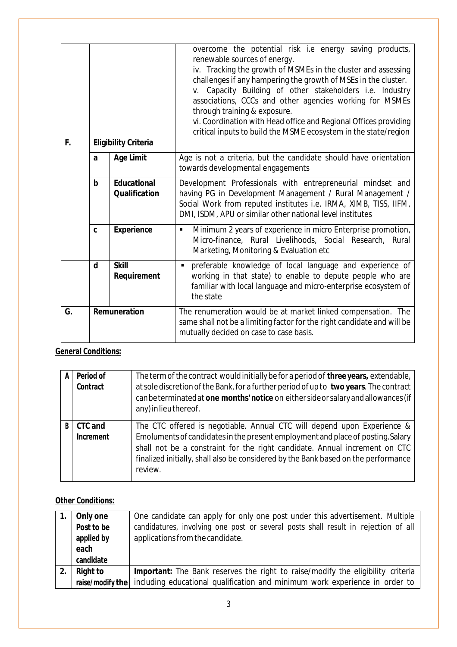|    |                                   |                                            | overcome the potential risk i.e energy saving products,<br>renewable sources of energy.<br>iv. Tracking the growth of MSMEs in the cluster and assessing<br>challenges if any hampering the growth of MSEs in the cluster.<br>Capacity Building of other stakeholders i.e. Industry<br>V.<br>associations, CCCs and other agencies working for MSMEs<br>through training & exposure.<br>vi. Coordination with Head office and Regional Offices providing<br>critical inputs to build the MSME ecosystem in the state/region |
|----|-----------------------------------|--------------------------------------------|-----------------------------------------------------------------------------------------------------------------------------------------------------------------------------------------------------------------------------------------------------------------------------------------------------------------------------------------------------------------------------------------------------------------------------------------------------------------------------------------------------------------------------|
|    | F.<br><b>Eligibility Criteria</b> |                                            |                                                                                                                                                                                                                                                                                                                                                                                                                                                                                                                             |
|    | a                                 | <b>Age Limit</b>                           | Age is not a criteria, but the candidate should have orientation<br>towards developmental engagements                                                                                                                                                                                                                                                                                                                                                                                                                       |
|    | $\mathbf b$                       | <b>Educational</b><br><b>Qualification</b> | Development Professionals with entrepreneurial mindset and<br>having PG in Development Management / Rural Management /<br>Social Work from reputed institutes i.e. IRMA, XIMB, TISS, IIFM,<br>DMI, ISDM, APU or similar other national level institutes                                                                                                                                                                                                                                                                     |
|    | C                                 | <b>Experience</b>                          | Minimum 2 years of experience in micro Enterprise promotion,<br>$\blacksquare$<br>Micro-finance, Rural Livelihoods, Social Research, Rural<br>Marketing, Monitoring & Evaluation etc                                                                                                                                                                                                                                                                                                                                        |
|    | d                                 | <b>Skill</b><br>Requirement                | preferable knowledge of local language and experience of<br>$\blacksquare$<br>working in that state) to enable to depute people who are<br>familiar with local language and micro-enterprise ecosystem of<br>the state                                                                                                                                                                                                                                                                                                      |
| G. | Remuneration                      |                                            | The renumeration would be at market linked compensation. The<br>same shall not be a limiting factor for the right candidate and will be<br>mutually decided on case to case basis.                                                                                                                                                                                                                                                                                                                                          |

## **General Conditions:**

| A | Period of<br>Contract       | The term of the contract would initially be for a period of three years, extendable,<br>at sole discretion of the Bank, for a further period of up to two years. The contract<br>can be terminated at one months' notice on either side or salary and allowances (if<br>any) in lieu thereof.                                             |
|---|-----------------------------|-------------------------------------------------------------------------------------------------------------------------------------------------------------------------------------------------------------------------------------------------------------------------------------------------------------------------------------------|
| B | <b>CTC and</b><br>Increment | The CTC offered is negotiable. Annual CTC will depend upon Experience &<br>Emoluments of candidates in the present employment and place of posting. Salary<br>shall not be a constraint for the right candidate. Annual increment on CTC<br>finalized initially, shall also be considered by the Bank based on the performance<br>review. |

## **Other Conditions:**

| Only one<br>Post to be<br>applied by<br>each<br>candidate | One candidate can apply for only one post under this advertisement. Multiple<br>candidatures, involving one post or several posts shall result in rejection of all<br>applications from the candidate. |
|-----------------------------------------------------------|--------------------------------------------------------------------------------------------------------------------------------------------------------------------------------------------------------|
| <b>Right to</b>                                           | <b>Important:</b> The Bank reserves the right to raise/modify the eligibility criteria                                                                                                                 |
|                                                           | raise/modify the   including educational qualification and minimum work experience in order to                                                                                                         |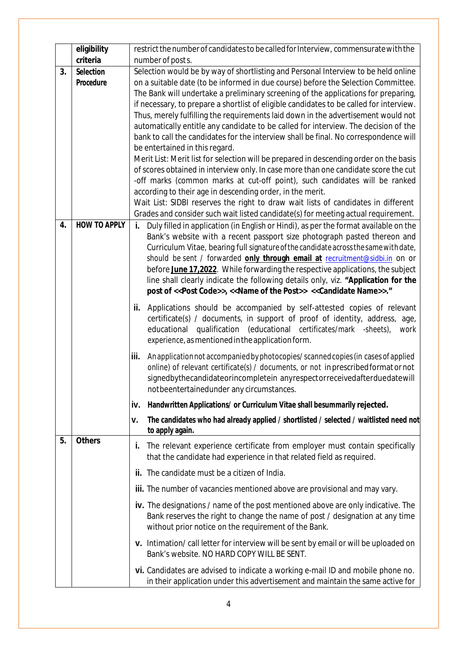|    | eligibility         |      | restrict the number of candidates to be called for Interview, commensurate with the                                                                               |  |  |
|----|---------------------|------|-------------------------------------------------------------------------------------------------------------------------------------------------------------------|--|--|
|    | criteria            |      | number of post s.                                                                                                                                                 |  |  |
| 3. | <b>Selection</b>    |      | Selection would be by way of shortlisting and Personal Interview to be held online                                                                                |  |  |
|    | Procedure           |      | on a suitable date (to be informed in due course) before the Selection Committee.                                                                                 |  |  |
|    |                     |      | The Bank will undertake a preliminary screening of the applications for preparing,                                                                                |  |  |
|    |                     |      | if necessary, to prepare a shortlist of eligible candidates to be called for interview.                                                                           |  |  |
|    |                     |      | Thus, merely fulfilling the requirements laid down in the advertisement would not                                                                                 |  |  |
|    |                     |      | automatically entitle any candidate to be called for interview. The decision of the                                                                               |  |  |
|    |                     |      | bank to call the candidates for the interview shall be final. No correspondence will                                                                              |  |  |
|    |                     |      | be entertained in this regard.<br>Merit List: Merit list for selection will be prepared in descending order on the basis                                          |  |  |
|    |                     |      | of scores obtained in interview only. In case more than one candidate score the cut                                                                               |  |  |
|    |                     |      | -off marks (common marks at cut-off point), such candidates will be ranked                                                                                        |  |  |
|    |                     |      | according to their age in descending order, in the merit.                                                                                                         |  |  |
|    |                     |      | Wait List: SIDBI reserves the right to draw wait lists of candidates in different                                                                                 |  |  |
|    |                     |      | Grades and consider such wait listed candidate(s) for meeting actual requirement.                                                                                 |  |  |
| 4. | <b>HOW TO APPLY</b> | i.   | Duly filled in application (in English or Hindi), as per the format available on the                                                                              |  |  |
|    |                     |      | Bank's website with a recent passport size photograph pasted thereon and                                                                                          |  |  |
|    |                     |      | Curriculum Vitae, bearing full signature of the candidate across the same with date,                                                                              |  |  |
|    |                     |      | should be sent / forwarded only through email at recruitment@sidbi.in on or                                                                                       |  |  |
|    |                     |      | before June 17,2022. While forwarding the respective applications, the subject                                                                                    |  |  |
|    |                     |      | line shall clearly indicate the following details only, viz. "Application for the                                                                                 |  |  |
|    |                     |      | post of << Post Code>>, << Name of the Post>> << Candidate Name>>."                                                                                               |  |  |
|    |                     | ii.  | Applications should be accompanied by self-attested copies of relevant                                                                                            |  |  |
|    |                     |      | certificate(s) / documents, in support of proof of identity, address, age,                                                                                        |  |  |
|    |                     |      | educational qualification (educational certificates/mark -sheets),<br>work                                                                                        |  |  |
|    |                     |      | experience, as mentioned in the application form.                                                                                                                 |  |  |
|    |                     | iii. | An application not accompanied by photocopies/scanned copies (in cases of applied                                                                                 |  |  |
|    |                     |      | online) of relevant certificate(s) / documents, or not in prescribed format or not                                                                                |  |  |
|    |                     |      | signedbythecandidateorincompletein anyrespectorreceivedafterduedatewill                                                                                           |  |  |
|    |                     |      | notbeentertainedunder any circumstances.                                                                                                                          |  |  |
|    |                     | iv.  | Handwritten Applications/ or Curriculum Vitae shall besummarily rejected.                                                                                         |  |  |
|    |                     | ٧.   | The candidates who had already applied / shortlisted / selected / waitlisted need not                                                                             |  |  |
|    |                     |      | to apply again.                                                                                                                                                   |  |  |
| 5. | <b>Others</b>       | i.   | The relevant experience certificate from employer must contain specifically                                                                                       |  |  |
|    |                     |      | that the candidate had experience in that related field as required.                                                                                              |  |  |
|    |                     |      |                                                                                                                                                                   |  |  |
|    |                     |      | ii. The candidate must be a citizen of India.                                                                                                                     |  |  |
|    |                     |      | <b>iii.</b> The number of vacancies mentioned above are provisional and may vary.                                                                                 |  |  |
|    |                     |      | iv. The designations / name of the post mentioned above are only indicative. The                                                                                  |  |  |
|    |                     |      | Bank reserves the right to change the name of post / designation at any time                                                                                      |  |  |
|    |                     |      | without prior notice on the requirement of the Bank.                                                                                                              |  |  |
|    |                     |      | v. Intimation/call letter for interview will be sent by email or will be uploaded on                                                                              |  |  |
|    |                     |      | Bank's website. NO HARD COPY WILL BE SENT.                                                                                                                        |  |  |
|    |                     |      |                                                                                                                                                                   |  |  |
|    |                     |      | vi. Candidates are advised to indicate a working e-mail ID and mobile phone no.<br>in their application under this advertisement and maintain the same active for |  |  |